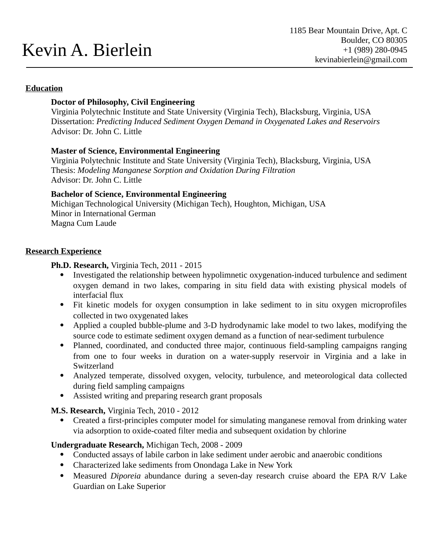# Kevin A. Bierlein

#### **Education**

## **Doctor of Philosophy, Civil Engineering**

Virginia Polytechnic Institute and State University (Virginia Tech), Blacksburg, Virginia, USA Dissertation: *Predicting Induced Sediment Oxygen Demand in Oxygenated Lakes and Reservoirs* Advisor: Dr. John C. Little

## **Master of Science, Environmental Engineering**

Virginia Polytechnic Institute and State University (Virginia Tech), Blacksburg, Virginia, USA Thesis: *Modeling Manganese Sorption and Oxidation During Filtration* Advisor: Dr. John C. Little

## **Bachelor of Science, Environmental Engineering**

Michigan Technological University (Michigan Tech), Houghton, Michigan, USA Minor in International German Magna Cum Laude

#### **Research Experience**

## **Ph.D. Research,** Virginia Tech, 2011 - 2015

- Investigated the relationship between hypolimnetic oxygenation-induced turbulence and sediment oxygen demand in two lakes, comparing in situ field data with existing physical models of interfacial flux
- Fit kinetic models for oxygen consumption in lake sediment to in situ oxygen microprofiles collected in two oxygenated lakes
- Applied a coupled bubble-plume and 3-D hydrodynamic lake model to two lakes, modifying the source code to estimate sediment oxygen demand as a function of near-sediment turbulence
- Planned, coordinated, and conducted three major, continuous field-sampling campaigns ranging from one to four weeks in duration on a water-supply reservoir in Virginia and a lake in **Switzerland**
- Analyzed temperate, dissolved oxygen, velocity, turbulence, and meteorological data collected during field sampling campaigns
- Assisted writing and preparing research grant proposals

**M.S. Research,** Virginia Tech, 2010 - 2012

 Created a first-principles computer model for simulating manganese removal from drinking water via adsorption to oxide-coated filter media and subsequent oxidation by chlorine

**Undergraduate Research,** Michigan Tech, 2008 - 2009

- Conducted assays of labile carbon in lake sediment under aerobic and anaerobic conditions
- Characterized lake sediments from Onondaga Lake in New York
- Measured *Diporeia* abundance during a seven-day research cruise aboard the EPA R/V Lake Guardian on Lake Superior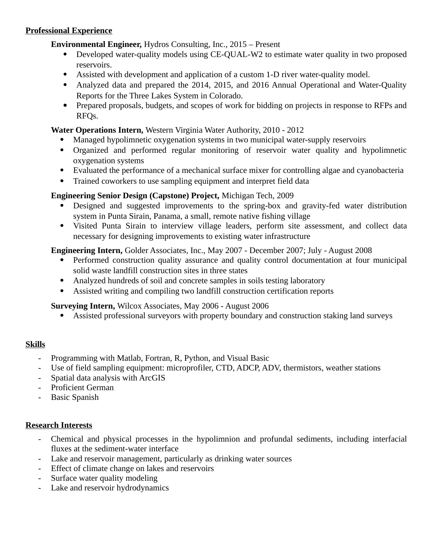## **Professional Experience**

**Environmental Engineer,** Hydros Consulting, Inc., 2015 – Present

- Developed water-quality models using CE-QUAL-W2 to estimate water quality in two proposed reservoirs.
- Assisted with development and application of a custom 1-D river water-quality model.
- Analyzed data and prepared the 2014, 2015, and 2016 Annual Operational and Water-Quality Reports for the Three Lakes System in Colorado.
- Prepared proposals, budgets, and scopes of work for bidding on projects in response to RFPs and RFQs.

## **Water Operations Intern,** Western Virginia Water Authority, 2010 - 2012

- Managed hypolimnetic oxygenation systems in two municipal water-supply reservoirs
- Organized and performed regular monitoring of reservoir water quality and hypolimnetic oxygenation systems
- Evaluated the performance of a mechanical surface mixer for controlling algae and cyanobacteria
- Trained coworkers to use sampling equipment and interpret field data

## **Engineering Senior Design (Capstone) Project,** Michigan Tech, 2009

- Designed and suggested improvements to the spring-box and gravity-fed water distribution system in Punta Sirain, Panama, a small, remote native fishing village
- Visited Punta Sirain to interview village leaders, perform site assessment, and collect data necessary for designing improvements to existing water infrastructure

**Engineering Intern,** Golder Associates, Inc., May 2007 - December 2007; July - August 2008

- Performed construction quality assurance and quality control documentation at four municipal solid waste landfill construction sites in three states
- Analyzed hundreds of soil and concrete samples in soils testing laboratory
- Assisted writing and compiling two landfill construction certification reports

## **Surveying Intern,** Wilcox Associates, May 2006 - August 2006

Assisted professional surveyors with property boundary and construction staking land surveys

## **Skills**

- Programming with Matlab, Fortran, R, Python, and Visual Basic
- Use of field sampling equipment: microprofiler, CTD, ADCP, ADV, thermistors, weather stations
- Spatial data analysis with ArcGIS
- Proficient German
- Basic Spanish

## **Research Interests**

- Chemical and physical processes in the hypolimnion and profundal sediments, including interfacial fluxes at the sediment-water interface
- Lake and reservoir management, particularly as drinking water sources
- Effect of climate change on lakes and reservoirs
- Surface water quality modeling
- Lake and reservoir hydrodynamics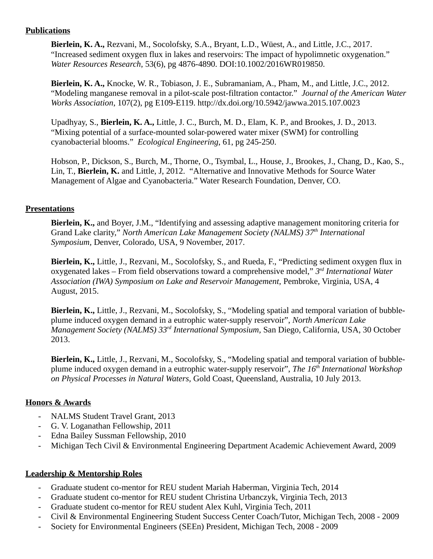## **Publications**

**Bierlein, K. A.,** Rezvani, M., Socolofsky, S.A., Bryant, L.D., Wüest, A., and Little, J.C., 2017. "Increased sediment oxygen flux in lakes and reservoirs: The impact of hypolimnetic oxygenation." *Water Resources Research*, 53(6), pg 4876-4890. DOI:10.1002/2016WR019850.

**Bierlein, K. A.,** Knocke, W. R., Tobiason, J. E., Subramaniam, A., Pham, M., and Little, J.C., 2012. "Modeling manganese removal in a pilot-scale post-filtration contactor." *Journal of the American Water Works Association*, 107(2), pg E109-E119. http://dx.doi.org/10.5942/jawwa.2015.107.0023

Upadhyay, S., **Bierlein, K. A.,** Little, J. C., Burch, M. D., Elam, K. P., and Brookes, J. D., 2013. "Mixing potential of a surface-mounted solar-powered water mixer (SWM) for controlling cyanobacterial blooms." *Ecological Engineering*, 61, pg 245-250.

Hobson, P., Dickson, S., Burch, M., Thorne, O., Tsymbal, L., House, J., Brookes, J., Chang, D., Kao, S., Lin, T., **Bierlein, K.** and Little, J, 2012. "Alternative and Innovative Methods for Source Water Management of Algae and Cyanobacteria." Water Research Foundation, Denver, CO.

## **Presentations**

**Bierlein, K.,** and Boyer, J.M., "Identifying and assessing adaptive management monitoring criteria for Grand Lake clarity," *North American Lake Management Society (NALMS) 37th International Symposium,* Denver, Colorado, USA, 9 November, 2017.

**Bierlein, K.,** Little, J., Rezvani, M., Socolofsky, S., and Rueda, F., "Predicting sediment oxygen flux in oxygenated lakes – From field observations toward a comprehensive model," *3 rd International Water Association (IWA) Symposium on Lake and Reservoir Management,* Pembroke, Virginia, USA, 4 August, 2015.

**Bierlein, K.,** Little, J., Rezvani, M., Socolofsky, S., "Modeling spatial and temporal variation of bubbleplume induced oxygen demand in a eutrophic water-supply reservoir", *North American Lake Management Society (NALMS) 33rd International Symposium,* San Diego, California, USA, 30 October 2013.

**Bierlein, K.,** Little, J., Rezvani, M., Socolofsky, S., "Modeling spatial and temporal variation of bubbleplume induced oxygen demand in a eutrophic water-supply reservoir", *The 16th International Workshop on Physical Processes in Natural Waters,* Gold Coast, Queensland, Australia, 10 July 2013.

## **Honors & Awards**

- NALMS Student Travel Grant, 2013
- G. V. Loganathan Fellowship, 2011
- Edna Bailey Sussman Fellowship, 2010
- Michigan Tech Civil & Environmental Engineering Department Academic Achievement Award, 2009

## **Leadership & Mentorship Roles**

- Graduate student co-mentor for REU student Mariah Haberman, Virginia Tech, 2014
- Graduate student co-mentor for REU student Christina Urbanczyk, Virginia Tech, 2013
- Graduate student co-mentor for REU student Alex Kuhl, Virginia Tech, 2011
- Civil & Environmental Engineering Student Success Center Coach/Tutor, Michigan Tech, 2008 2009
- Society for Environmental Engineers (SEEn) President, Michigan Tech, 2008 2009